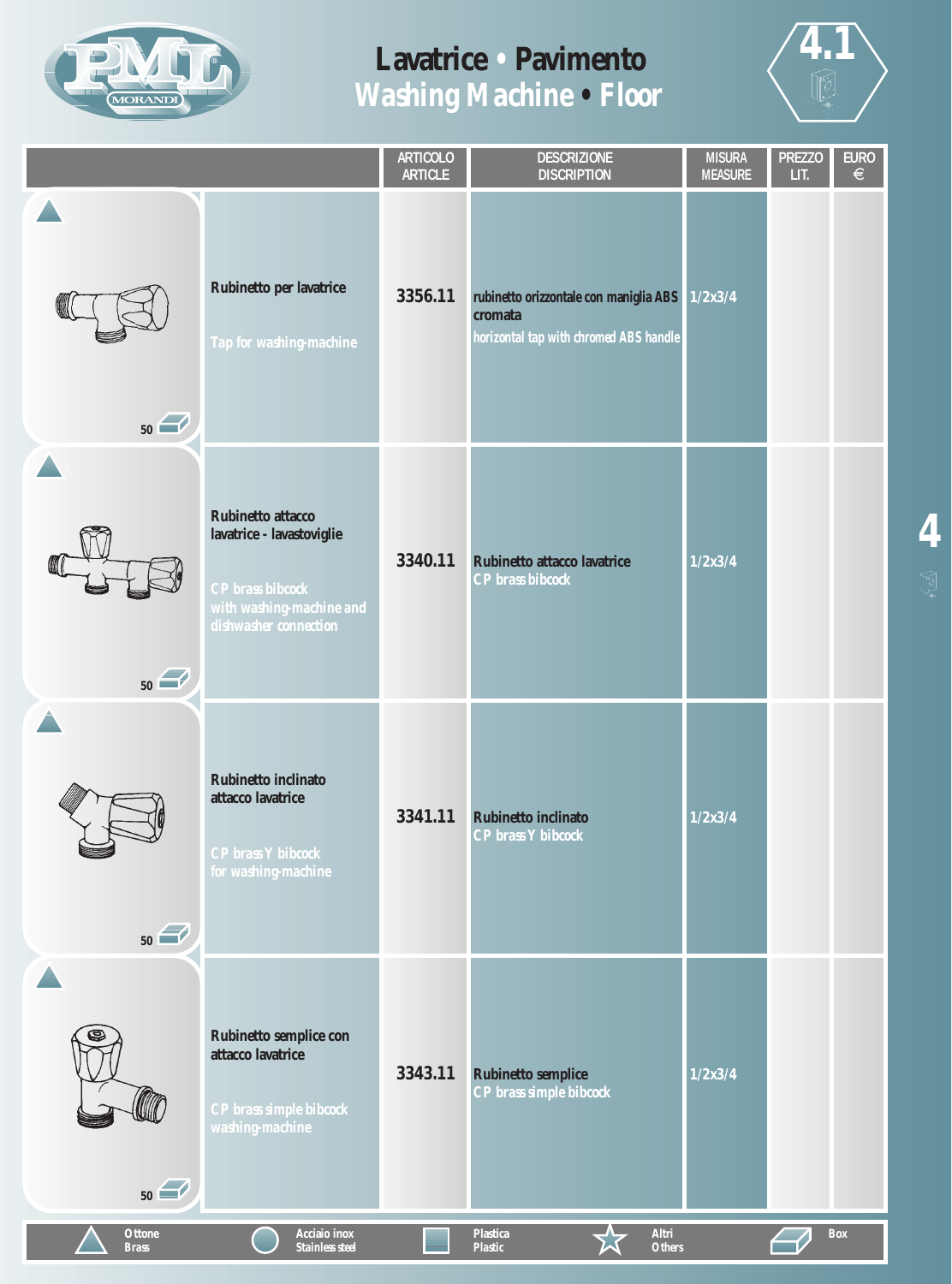



|                               |                                                                                                                                | <b>ARTICOLO</b><br><b>ARTICLE</b> | <b>DESCRIZIONE</b><br><b>DISCRIPTION</b>                                                    | <b>MISURA</b><br><b>MEASURE</b> | <b>PREZZO</b><br>LIT. | <b>EURO</b><br>$\in$ |
|-------------------------------|--------------------------------------------------------------------------------------------------------------------------------|-----------------------------------|---------------------------------------------------------------------------------------------|---------------------------------|-----------------------|----------------------|
| 50                            | Rubinetto per lavatrice<br>Tap for washing-machine                                                                             | 3356.11                           | rubinetto orizzontale con maniglia ABS<br>cromata<br>horizontal tap with chromed ABS handle | 1/2x3/4                         |                       |                      |
| 50                            | Rubinetto attacco<br>lavatrice - lavastoviglie<br><b>CP</b> brass bibcock<br>with washing-machine and<br>dishwasher connection | 3340.11                           | Rubinetto attacco lavatrice<br><b>CP</b> brass bibcock                                      | 1/2x3/4                         |                       |                      |
| 50                            | <b>Rubinetto inclinato</b><br>attacco lavatrice<br><b>CP</b> brass Y bibcock<br>for washing-machine                            | 3341.11                           | <b>Rubinetto inclinato</b><br><b>CP</b> brass Y bibcock                                     | 1/2x3/4                         |                       |                      |
| 50                            | Rubinetto semplice con<br>attacco lavatrice<br>CP brass simple bibcock<br>washing-machine                                      | 3343.11                           | <b>Rubinetto semplice</b><br>CP brass simple bibcock                                        | 1/2x3/4                         |                       |                      |
| <b>Ottone</b><br><b>Brass</b> | Acciaio inox<br>Stainless steel                                                                                                |                                   | Altri<br><b>Plastica</b><br>Plastic<br><b>Others</b>                                        |                                 |                       | Box                  |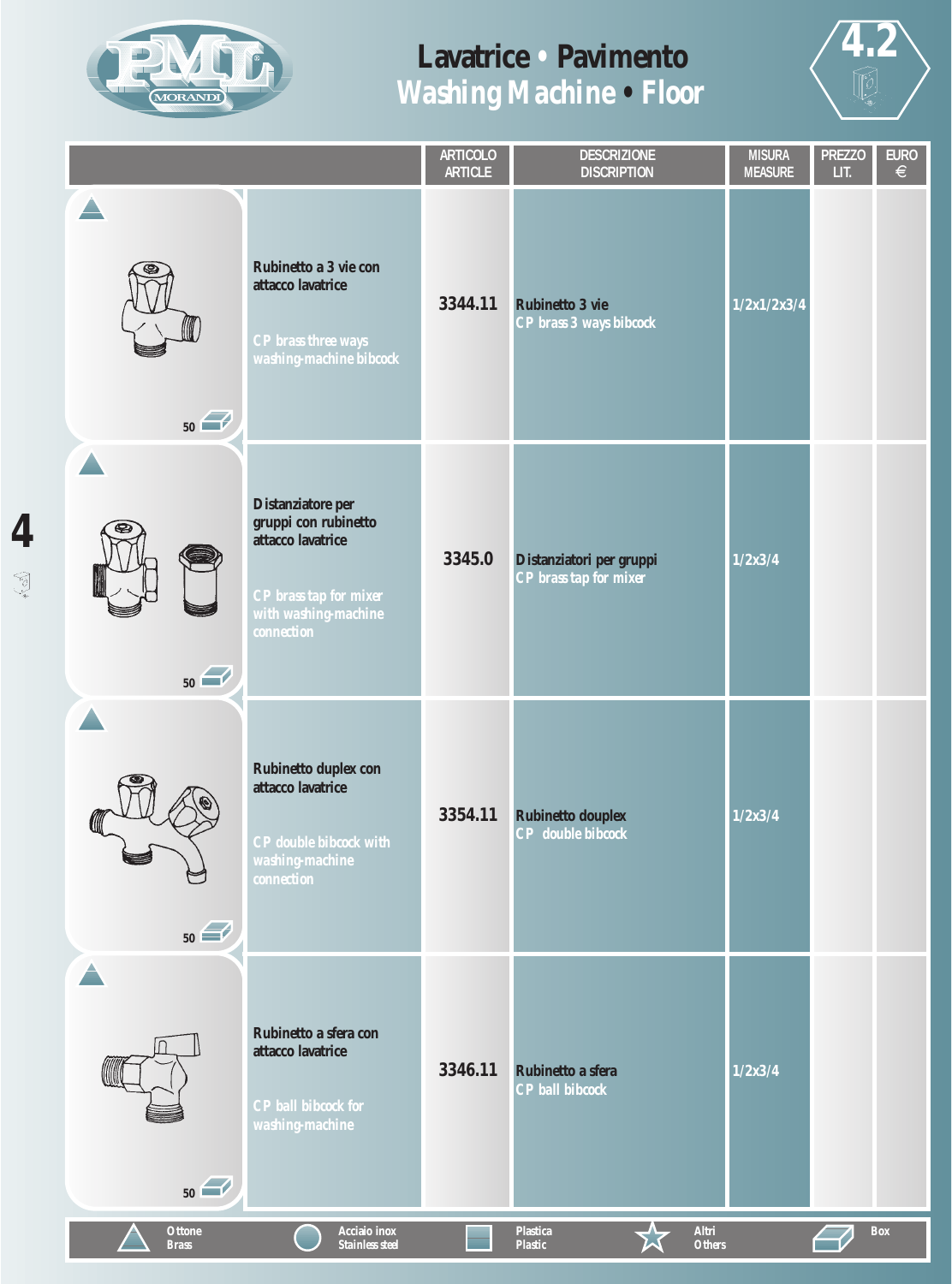



|                               |                                                                                                                                       | <b>ARTICOLO</b><br><b>ARTICLE</b> | <b>DESCRIZIONE</b><br><b>DISCRIPTION</b>                    | <b>MISURA</b><br><b>MEASURE</b> | <b>PREZZO</b><br>LIT. | <b>EURO</b><br>$\in$ |
|-------------------------------|---------------------------------------------------------------------------------------------------------------------------------------|-----------------------------------|-------------------------------------------------------------|---------------------------------|-----------------------|----------------------|
| 50                            | Rubinetto a 3 vie con<br>attacco lavatrice<br>CP brass three ways<br>washing-machine bibcock                                          | 3344.11                           | <b>Rubinetto 3 vie</b><br>CP brass 3 ways bibcock           | 1/2x1/2x3/4                     |                       |                      |
| 50                            | Distanziatore per<br>gruppi con rubinetto<br>attacco lavatrice<br>CP brass tap for mixer<br>with washing-machine<br><i>connection</i> | 3345.0                            | Distanziatori per gruppi<br>CP brass tap for mixer          | 1/2x3/4                         |                       |                      |
| ⋓<br>50                       | Rubinetto duplex con<br>attacco lavatrice<br><b>CP</b> double bibcock with<br>washing-machine<br>connection                           | 3354.11                           | <b>Rubinetto douplex</b><br><b>CP</b> double bibcock        | 1/2x3/4                         |                       |                      |
| 50                            | Rubinetto a sfera con<br>attacco lavatrice<br><b>CP</b> ball bibcock for<br>washing-machine                                           | 3346.11                           | Rubinetto a sfera<br><b>CP</b> ball bibcock                 | 1/2x3/4                         |                       |                      |
| <b>Ottone</b><br><b>Brass</b> | Acciaio inox<br><b>Stainless steel</b>                                                                                                |                                   | Altri<br><b>Plastica</b><br><b>Plastic</b><br><b>Others</b> |                                 |                       | <b>Box</b>           |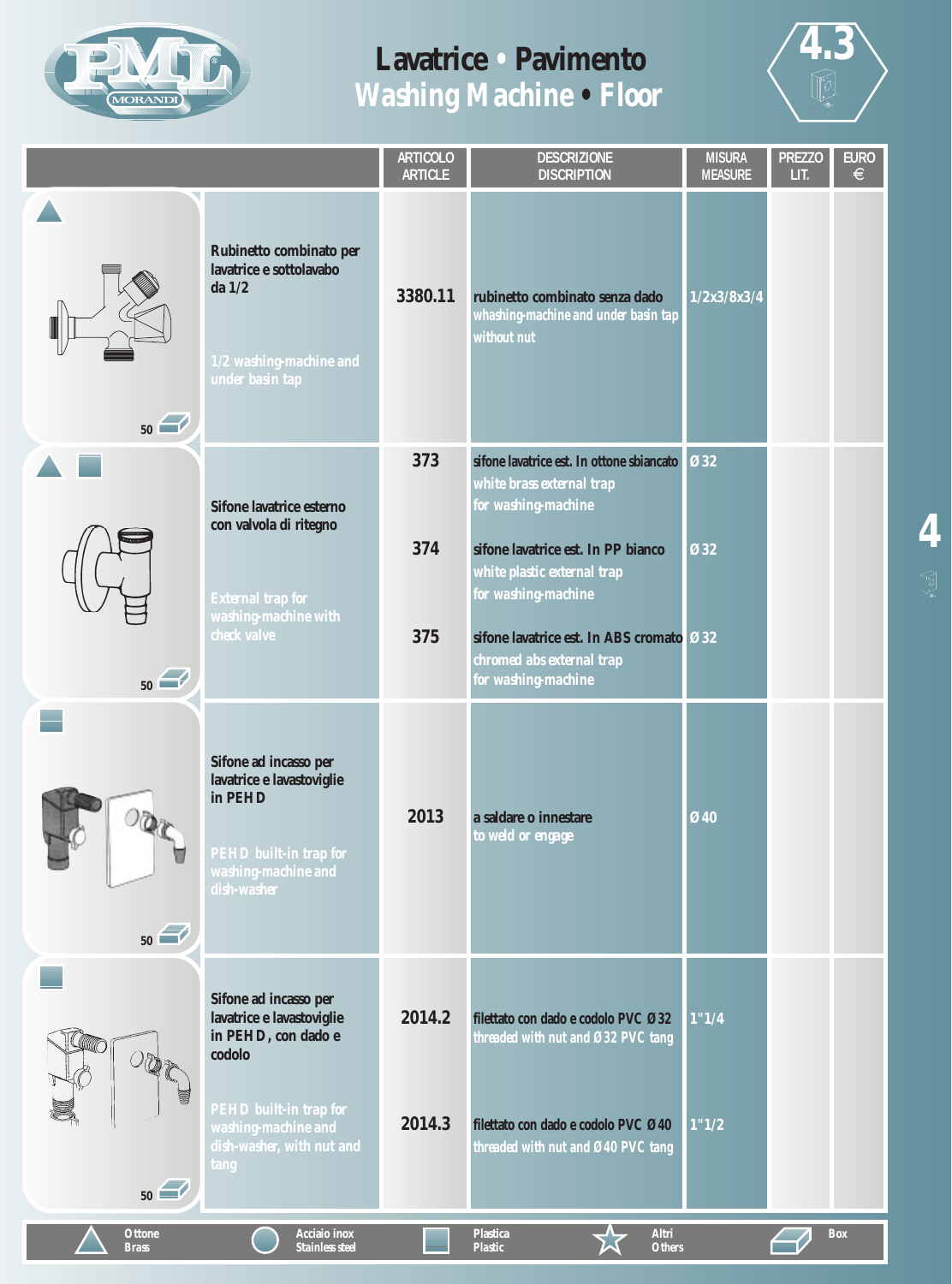



|                               |                                                                                                                     | <b>ARTICOLO</b><br><b>ARTICLE</b> | <b>DESCRIZIONE</b><br><b>DISCRIPTION</b>                                                                                                                                                                                              | <b>MISURA</b><br><b>MEASURE</b> | <b>PREZZO</b><br>LIT. | <b>EURO</b><br>$\in$ |
|-------------------------------|---------------------------------------------------------------------------------------------------------------------|-----------------------------------|---------------------------------------------------------------------------------------------------------------------------------------------------------------------------------------------------------------------------------------|---------------------------------|-----------------------|----------------------|
| 50                            | Rubinetto combinato per<br>lavatrice e sottolavabo<br>da $1/2$<br>1/2 washing-machine and<br>under basin tap        | 3380.11                           | rubinetto combinato senza dado<br>whashing-machine and under basin tap<br>without nut                                                                                                                                                 | 1/2x3/8x3/4                     |                       |                      |
|                               | Sifone lavatrice esterno<br>con valvola di ritegno<br>External trap for<br>washing-machine with<br>check valve      | 373<br>374<br>375                 | sifone lavatrice est. In ottone sbiancato<br>white brass external trap<br>for washing-machine<br>sifone lavatrice est. In PP bianco<br>white plastic external trap<br>for washing-machine<br>sifone lavatrice est. In ABS cromato Ø32 | <b>Ø32</b><br>Ø32               |                       |                      |
| 50                            | Sifone ad incasso per<br>lavatrice e lavastoviglie<br>in PEHD                                                       | 2013                              | chromed abs external trap<br>for washing-machine<br>a saldare o innestare<br>to weld or engage                                                                                                                                        | Ø40                             |                       |                      |
| 50                            | PEHD built-in trap for<br>washing-machine and<br>dish-washer<br>Sifone ad incasso per<br>lavatrice e lavastoviglie  | 2014.2                            | filettato con dado e codolo PVC Ø32                                                                                                                                                                                                   | 1"1/4                           |                       |                      |
| 50                            | in PEHD, con dado e<br>codolo<br>PEHD built-in trap for<br>washing-machine and<br>dish-washer, with nut and<br>tang | 2014.3                            | threaded with nut and Ø32 PVC tang<br>filettato con dado e codolo PVC Ø40<br>threaded with nut and Ø40 PVC tang                                                                                                                       | 1"1/2                           |                       |                      |
| <b>Ottone</b><br><b>Brass</b> | Acciaio inox<br>Stainless steel                                                                                     |                                   | <b>Plastica</b><br>Altri<br><b>Plastic</b><br><b>Others</b>                                                                                                                                                                           |                                 |                       | <b>Box</b>           |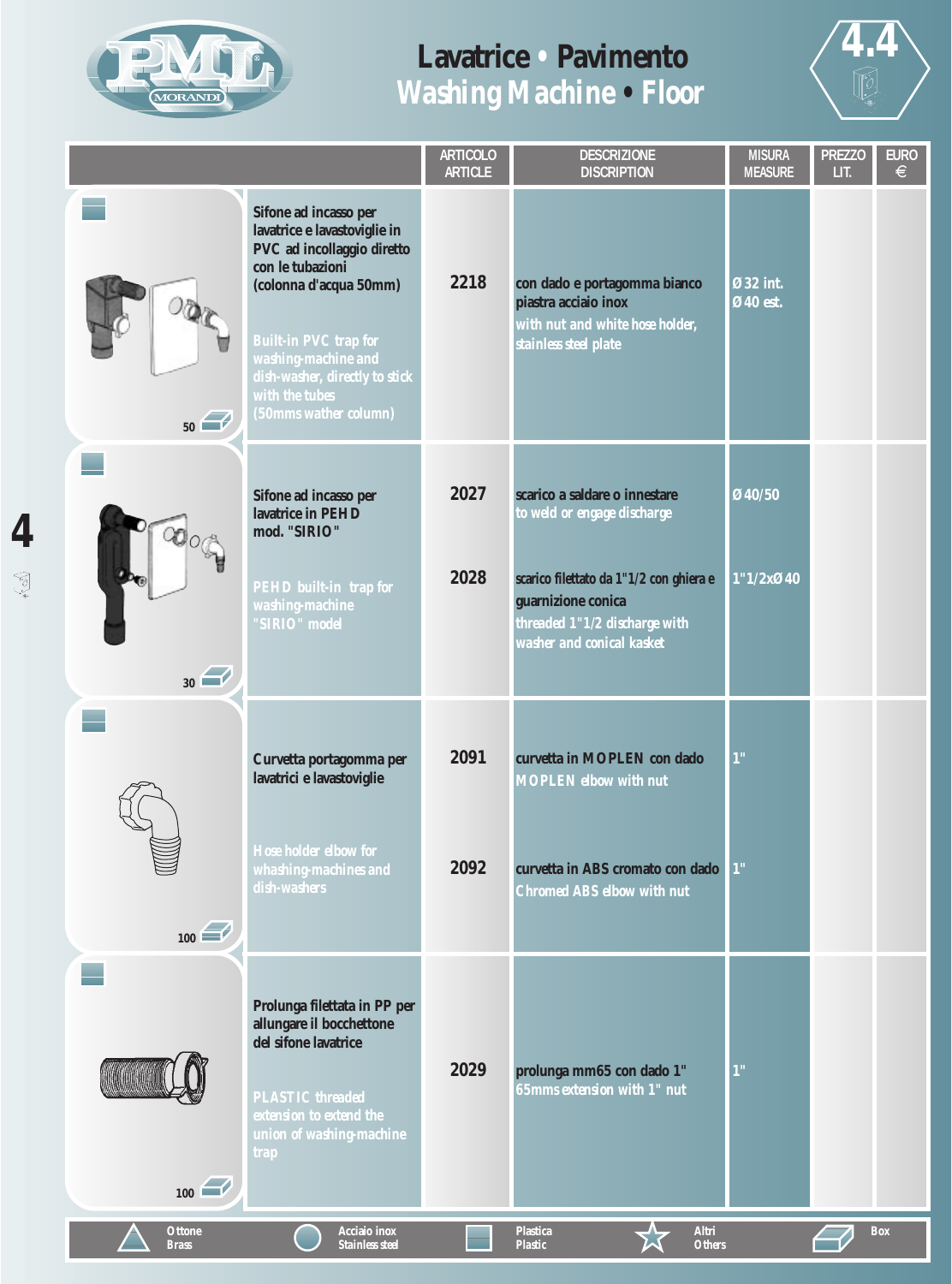



|                               |                                                                                                                                                                                                                                                                       |              | <b>DESCRIZIONE</b><br><b>DISCRIPTION</b>                                                                                                                                                    | <b>MISURA</b><br><b>MEASURE</b> | <b>PREZZO</b><br>LIT. | <b>EURO</b><br>€ |
|-------------------------------|-----------------------------------------------------------------------------------------------------------------------------------------------------------------------------------------------------------------------------------------------------------------------|--------------|---------------------------------------------------------------------------------------------------------------------------------------------------------------------------------------------|---------------------------------|-----------------------|------------------|
| 50                            | Sifone ad incasso per<br>lavatrice e lavastoviglie in<br>PVC ad incollaggio diretto<br>con le tubazioni<br>(colonna d'acqua 50mm)<br><b>Built-in PVC trap for</b><br>washing-machine and<br>dish-washer, directly to stick<br>with the tubes<br>(50mms wather column) | 2218         | con dado e portagomma bianco<br>piastra acciaio inox<br>with nut and white hose holder;<br>stainless steel plate                                                                            | Ø32 int.<br>Ø40 est.            |                       |                  |
| 30                            | Sifone ad incasso per<br>lavatrice in PEHD<br>mod. "SIRIO"<br>PEHD built-in trap for<br>washing-machine<br>"SIRIO" model                                                                                                                                              | 2027<br>2028 | scarico a saldare o innestare<br>to weld or engage discharge<br>scarico filettato da 1"1/2 con ghiera e<br>guarnizione conica<br>threaded 1"1/2 discharge with<br>washer and conical kasket | Ø40/50<br>1"1/2x@40             |                       |                  |
| $\frac{100}{200}$             | Curvetta portagomma per<br>lavatrici e lavastoviglie<br>Hose holder elbow for<br>whashing-machines and<br>dish-washers                                                                                                                                                | 2091<br>2092 | curvetta in MOPLEN con dado<br><b>MOPLEN</b> elbow with nut<br>curvetta in ABS cromato con dado<br><b>Chromed ABS elbow with nut</b>                                                        | 1"<br>1"                        |                       |                  |
| $\boxed{100}$                 | Prolunga filettata in PP per<br>allungare il bocchettone<br>del sifone lavatrice<br><b>PLASTIC</b> threaded<br>extension to extend the<br>union of washing-machine<br><b>trap</b>                                                                                     | 2029         | prolunga mm65 con dado 1"<br>65mms extension with 1" nut                                                                                                                                    | 1"                              |                       |                  |
| <b>Ottone</b><br><b>Brass</b> | Acciaio inox<br><b>Stainless steel</b>                                                                                                                                                                                                                                |              | <b>Plastica</b><br>Altri<br><b>Others</b><br><b>Plastic</b>                                                                                                                                 |                                 |                       | <b>Box</b>       |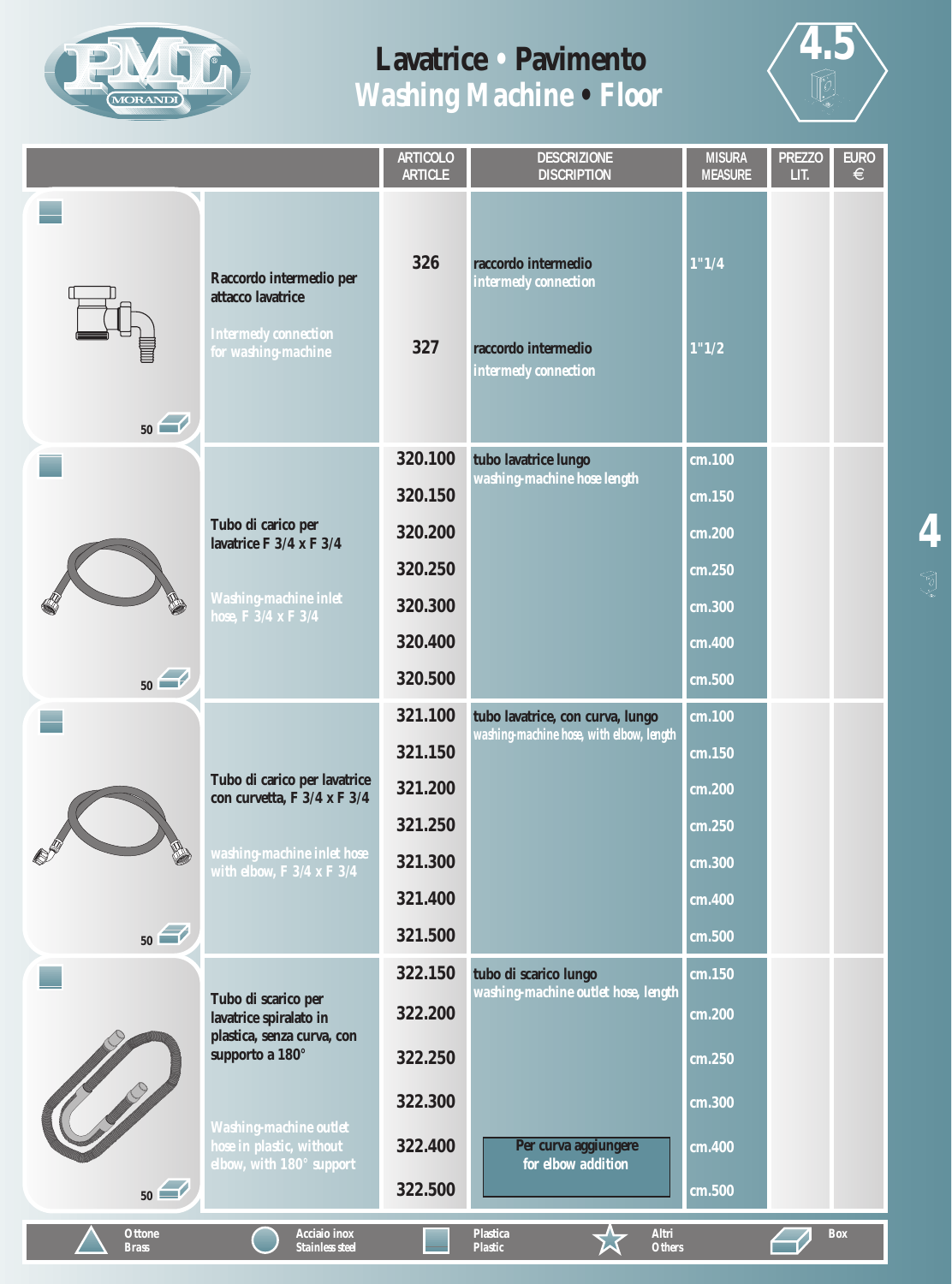



| 326<br>1"1/4<br>raccordo intermedio<br>Raccordo intermedio per<br>intermedy connection<br>attacco lavatrice<br><b>Intermedy connection</b><br>327<br>1"1/2<br>raccordo intermedio<br>for washing-machine<br>intermedy connection<br>50<br>320.100<br>tubo lavatrice lungo<br>cm.100<br>washing-machine hose length<br>320.150<br>cm.150<br>Tubo di carico per<br>320.200<br>cm.200<br>lavatrice F 3/4 x F 3/4<br>320.250<br>cm.250<br><b>Washing-machine inlet</b><br>320.300<br>cm.300<br>hose, $\overline{F}3/4$ x $\overline{F}3/4$<br>320.400<br>$\overline{\text{cm}}$ .400<br>50<br>320.500<br>cm.500<br>321.100<br>cm.100<br>tubo lavatrice, con curva, lungo<br>washing-machine hose, with elbow, length<br>321.150<br>cm.150<br>Tubo di carico per lavatrice<br>321.200<br>cm.200<br>con curvetta, F 3/4 x F 3/4<br>321.250<br>$\overline{\text{cm}}$ .250<br>washing-machine inlet hose<br>321.300<br>cm.300<br>with elbow, $F\,3/4$ x $F\,3/4$<br>321.400<br>cm.400<br>50<br>321.500<br>cm.500<br>322.150<br>tubo di scarico lungo<br>cm.150<br>washing-machine outlet hose, length<br>Tubo di scarico per<br>322.200<br>cm.200<br>lavatrice spiralato in<br>plastica, senza curva, con<br>supporto a 180°<br>322.250<br>cm.250<br>322.300<br>cm.300 |      |                               | <b>ARTICOLO</b><br><b>ARTICLE</b> | <b>DESCRIZIONE</b><br><b>DISCRIPTION</b> | <b>MISURA</b><br><b>MEASURE</b> | <b>PREZZO</b><br>LIT. | <b>EURO</b><br>$\epsilon$ |
|-----------------------------------------------------------------------------------------------------------------------------------------------------------------------------------------------------------------------------------------------------------------------------------------------------------------------------------------------------------------------------------------------------------------------------------------------------------------------------------------------------------------------------------------------------------------------------------------------------------------------------------------------------------------------------------------------------------------------------------------------------------------------------------------------------------------------------------------------------------------------------------------------------------------------------------------------------------------------------------------------------------------------------------------------------------------------------------------------------------------------------------------------------------------------------------------------------------------------------------------------------------------|------|-------------------------------|-----------------------------------|------------------------------------------|---------------------------------|-----------------------|---------------------------|
|                                                                                                                                                                                                                                                                                                                                                                                                                                                                                                                                                                                                                                                                                                                                                                                                                                                                                                                                                                                                                                                                                                                                                                                                                                                                 |      |                               |                                   |                                          |                                 |                       |                           |
|                                                                                                                                                                                                                                                                                                                                                                                                                                                                                                                                                                                                                                                                                                                                                                                                                                                                                                                                                                                                                                                                                                                                                                                                                                                                 |      |                               |                                   |                                          |                                 |                       |                           |
|                                                                                                                                                                                                                                                                                                                                                                                                                                                                                                                                                                                                                                                                                                                                                                                                                                                                                                                                                                                                                                                                                                                                                                                                                                                                 |      |                               |                                   |                                          |                                 |                       |                           |
|                                                                                                                                                                                                                                                                                                                                                                                                                                                                                                                                                                                                                                                                                                                                                                                                                                                                                                                                                                                                                                                                                                                                                                                                                                                                 |      |                               |                                   |                                          |                                 |                       |                           |
|                                                                                                                                                                                                                                                                                                                                                                                                                                                                                                                                                                                                                                                                                                                                                                                                                                                                                                                                                                                                                                                                                                                                                                                                                                                                 |      |                               |                                   |                                          |                                 |                       |                           |
| hose in plastic, without<br>Per curva aggiungere<br>322.400<br>cm.400                                                                                                                                                                                                                                                                                                                                                                                                                                                                                                                                                                                                                                                                                                                                                                                                                                                                                                                                                                                                                                                                                                                                                                                           | 1200 | <b>Washing-machine outlet</b> |                                   |                                          |                                 |                       |                           |
| elbow, with 180° support<br>for elbow addition<br>50<br>322.500<br>cm.500<br>Acciaio inox<br>Altri<br><b>Ottone</b><br><b>Plastica</b><br>Box<br><b>Plastic</b><br><b>Others</b><br><b>Brass</b><br><b>Stainless steel</b>                                                                                                                                                                                                                                                                                                                                                                                                                                                                                                                                                                                                                                                                                                                                                                                                                                                                                                                                                                                                                                      |      |                               |                                   |                                          |                                 |                       |                           |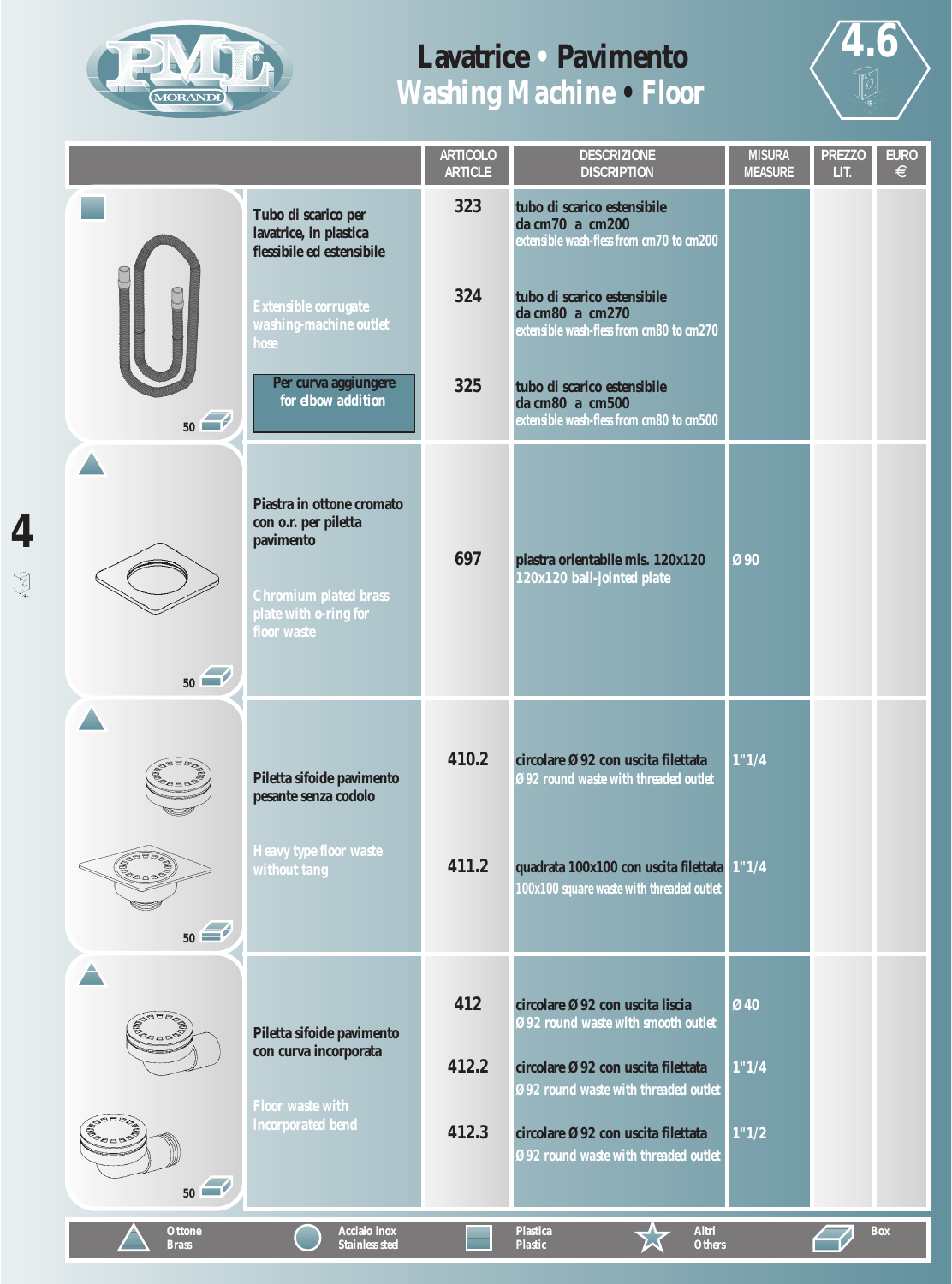



|                               |                                                                                                                                 | <b>ARTICOLO</b><br><b>ARTICLE</b> | <b>DESCRIZIONE</b><br><b>DISCRIPTION</b>                                                   | <b>MISURA</b><br><b>MEASURE</b> | <b>PREZZO</b><br>LIT. | <b>EURO</b><br>$\in$ |
|-------------------------------|---------------------------------------------------------------------------------------------------------------------------------|-----------------------------------|--------------------------------------------------------------------------------------------|---------------------------------|-----------------------|----------------------|
|                               | Tubo di scarico per<br>lavatrice, in plastica<br>flessibile ed estensibile                                                      | 323                               | tubo di scarico estensibile<br>da cm70 a cm200<br>extensible wash-fless from cm70 to cm200 |                                 |                       |                      |
|                               | Extensible corrugate<br>washing-machine outlet<br>hose                                                                          | 324                               | tubo di scarico estensibile<br>da cm80 a cm270<br>extensible wash-fless from cm80 to cm270 |                                 |                       |                      |
| 50                            | Per curva aggiungere<br>for elbow addition                                                                                      | 325                               | tubo di scarico estensibile<br>da cm80 a cm500<br>extensible wash-fless from cm80 to cm500 |                                 |                       |                      |
| 50                            | Piastra in ottone cromato<br>con o.r. per piletta<br>pavimento<br>Chromium plated brass<br>plate with o-ring for<br>floor waste | 697                               | piastra orientabile mis. 120x120<br>120x120 ball-jointed plate                             | Ø90                             |                       |                      |
|                               | Piletta sifoide pavimento<br>pesante senza codolo                                                                               | 410.2                             | circolare Ø92 con uscita filettata<br>Ø92 round waste with threaded outlet                 | 1"1/4                           |                       |                      |
| 50                            | <b>Heavy type floor waste</b><br>without tang                                                                                   | 411.2                             | quadrata 100x100 con uscita filettata 1"1/4<br>100x100 square waste with threaded outlet   |                                 |                       |                      |
| <b>RABBBC</b>                 |                                                                                                                                 | 412                               | circolare Ø92 con uscita liscia<br>Ø92 round waste with smooth outlet                      | Ø40                             |                       |                      |
|                               | Piletta sifoide pavimento<br>con curva incorporata                                                                              | 412.2                             | circolare Ø92 con uscita filettata<br>Ø92 round waste with threaded outlet                 | 1"1/4                           |                       |                      |
| <b>BRACH</b><br>50            | <b>Floor waste with</b><br>incorporated bend                                                                                    | 412.3                             | circolare Ø92 con uscita filettata<br>Ø92 round waste with threaded outlet                 | 1"1/2                           |                       |                      |
| <b>Ottone</b><br><b>Brass</b> | Acciaio inox<br><b>Stainless steel</b>                                                                                          |                                   | Altri<br><b>Plastica</b><br><b>Plastic</b><br><b>Others</b>                                |                                 |                       | <b>Box</b>           |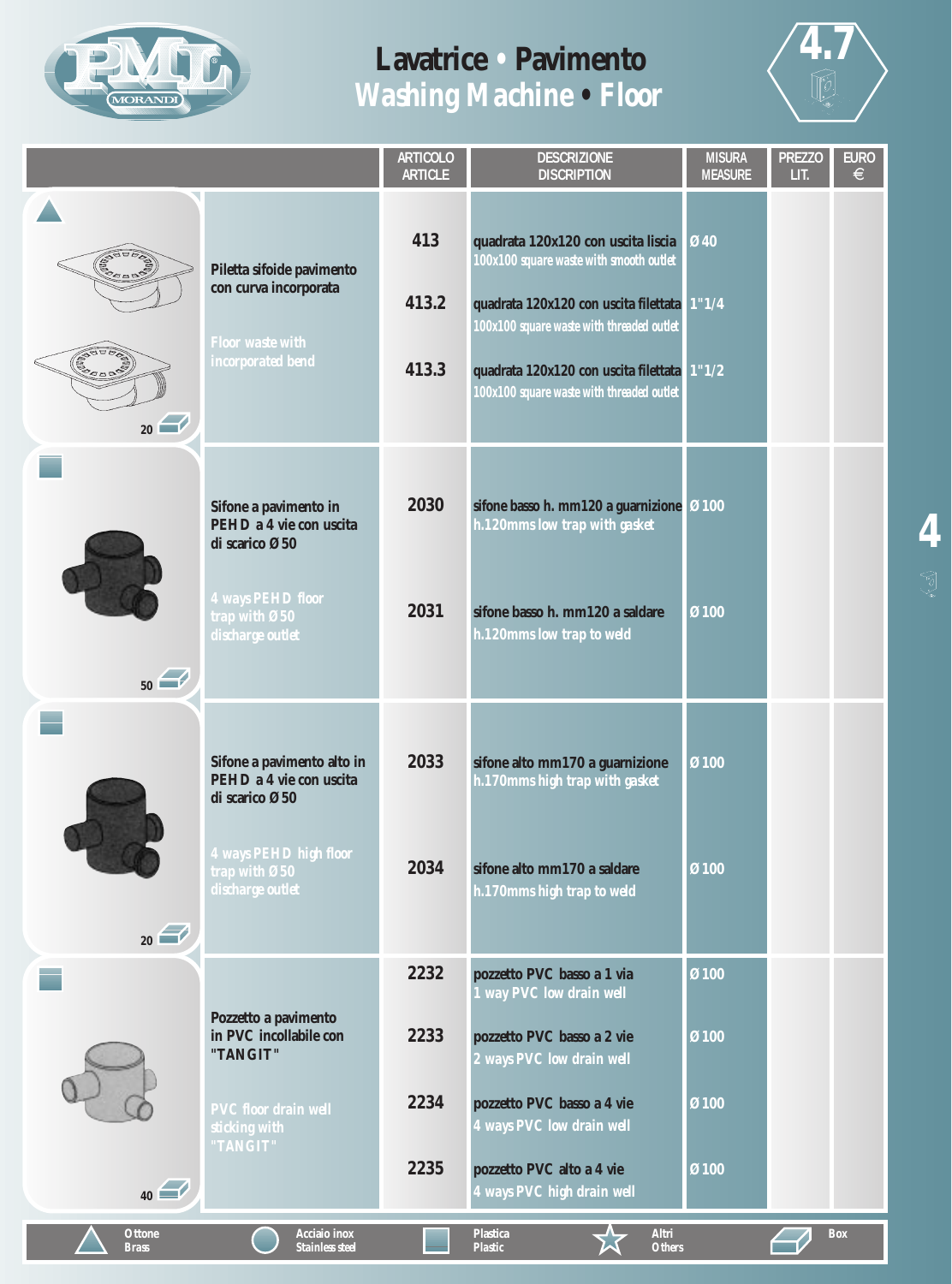



|                                          |                                                                                                                                                       | <b>ARTICOLO</b><br><b>ARTICLE</b> | <b>DESCRIZIONE</b><br><b>DISCRIPTION</b>                                                                                                                                                                                                                        | <b>MISURA</b><br><b>MEASURE</b> | <b>PREZZO</b><br>LIT. | <b>EURO</b><br>$\in$ |
|------------------------------------------|-------------------------------------------------------------------------------------------------------------------------------------------------------|-----------------------------------|-----------------------------------------------------------------------------------------------------------------------------------------------------------------------------------------------------------------------------------------------------------------|---------------------------------|-----------------------|----------------------|
| <b>SOUD</b><br><b>CORD DR</b><br>$_{20}$ | Piletta sifoide pavimento<br>con curva incorporata<br><b>Floor waste with</b><br>incorporated bend                                                    | 413<br>413.2<br>413.3             | quadrata 120x120 con uscita liscia<br>100x100 square waste with smooth outlet<br>quadrata 120x120 con uscita filettata<br>100x100 square waste with threaded outlet<br>quadrata 120x120 con uscita filettata 1"1/2<br>100x100 square waste with threaded outlet | Ø40<br>1"1/4                    |                       |                      |
| 50                                       | Sifone a pavimento in<br>PEHD a 4 vie con uscita<br>di scarico Ø50<br>A ways PEHD floor<br>trap with $\boldsymbol{\mathcal{O}}50$<br>discharge outlet | 2030<br>2031                      | sifone basso h. mm120 a guarnizione<br>h.120mms low trap with gasket<br>sifone basso h. mm120 a saldare<br>h.120mms low trap to weld                                                                                                                            | Ø100<br>Ø100                    |                       |                      |
| $_{20}$                                  | Sifone a pavimento alto in<br>PEHD a 4 vie con uscita<br>di scarico Ø50<br>4 ways PEHD high floor<br>trap with Ø50<br>discharge outlet                | 2033<br>2034                      | sifone alto mm170 a guarnizione<br>h.170mms high trap with gasket<br>sifone alto mm170 a saldare<br>h.170mms high trap to weld                                                                                                                                  | Ø100<br>Ø100                    |                       |                      |
|                                          | Pozzetto a pavimento<br>in PVC incollabile con<br>"TANGIT"                                                                                            | 2232<br>2233<br>2234              | pozzetto PVC basso a 1 via<br>1 way PVC low drain well<br>pozzetto PVC basso a 2 vie<br>2 ways PVC low drain well                                                                                                                                               | Ø100<br>Ø100                    |                       |                      |
| $_{40}$<br><b>Ottone</b>                 | <b>PVC</b> floor drain well<br>sticking with<br>"TANGIT"<br>Acciaio inox                                                                              | 2235                              | pozzetto PVC basso a 4 vie<br>4 ways PVC low drain well<br>pozzetto PVC alto a 4 vie<br>4 ways PVC high drain well<br><b>Plastica</b><br>Altri                                                                                                                  | Ø100<br>Ø100                    |                       | <b>Box</b>           |
| <b>Brass</b>                             | <b>Stainless steel</b>                                                                                                                                |                                   | <b>Plastic</b><br><b>Others</b>                                                                                                                                                                                                                                 |                                 |                       |                      |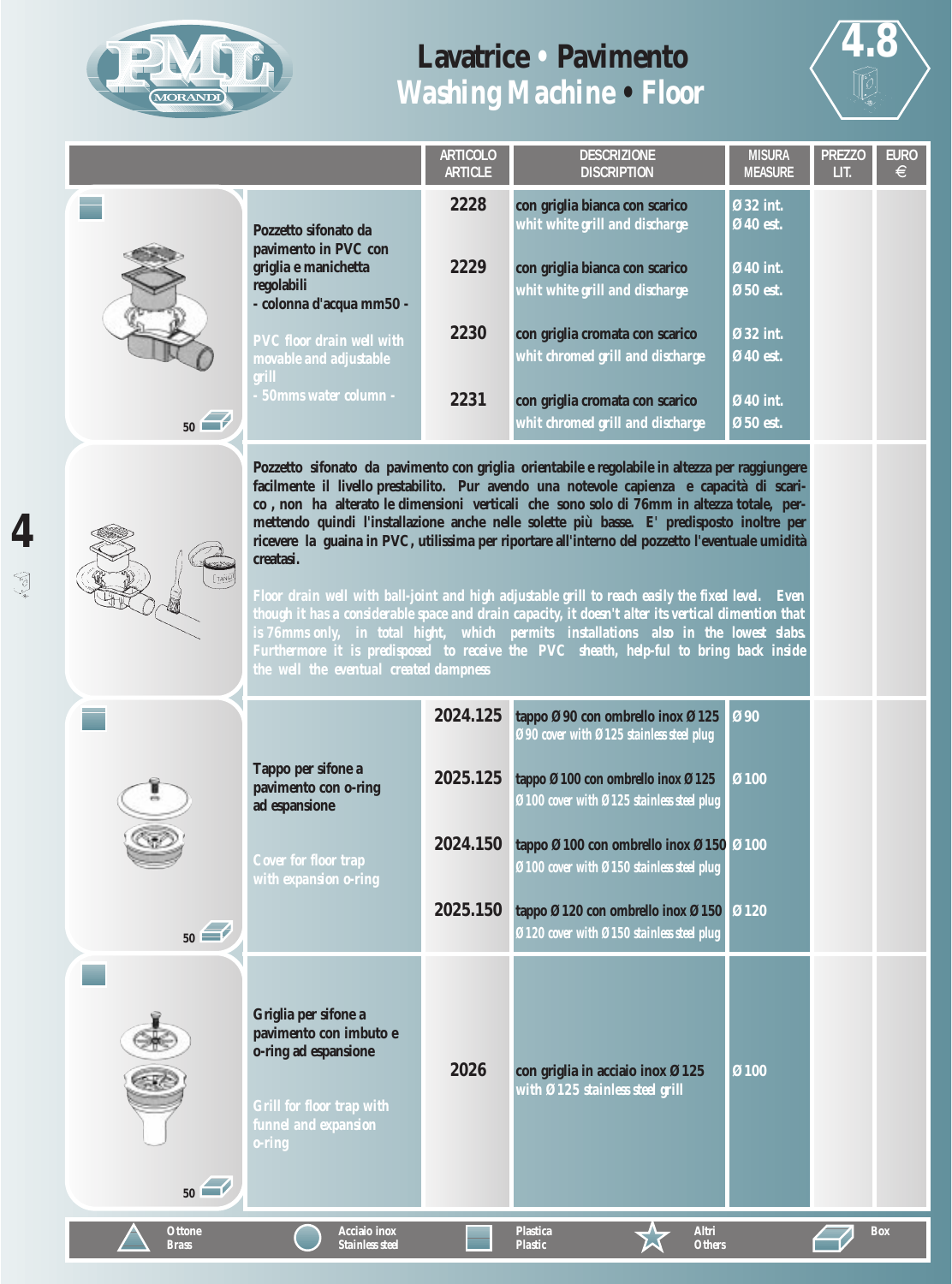

J

### **Lavatrice** *•* **Pavimento** *Washing Machine • Floor*



**Box**

|    |                                                                     | <b>ARTICOLO</b><br><b>ARTICLE</b> | <b>DESCRIZIONE</b><br><b>DISCRIPTION</b>                            | <b>MISURA</b><br><b>MEASURE</b> | <b>PREZZO</b><br>LIT. | <b>EURO</b><br>€ |
|----|---------------------------------------------------------------------|-----------------------------------|---------------------------------------------------------------------|---------------------------------|-----------------------|------------------|
|    | Pozzetto sifonato da<br>pavimento in PVC con                        | 2228                              | con griglia bianca con scarico<br>whit white grill and discharge    | Ø32 int.<br>Ø40 est.            |                       |                  |
|    | griglia e manichetta<br>regolabili<br>- colonna d'acqua mm50 -      | 2229                              | con griglia bianca con scarico<br>whit white grill and discharge    | Ø40 int.<br>Ø50 est.            |                       |                  |
|    | <b>PVC</b> floor drain well with<br>movable and adjustable<br>erill | 2230                              | con griglia cromata con scarico<br>whit chromed grill and discharge | Ø32 int.<br>Ø40 est.            |                       |                  |
| 50 | 50mms water column -                                                | 2231                              | con griglia cromata con scarico<br>whit chromed grill and discharge | Ø40 int.<br>Ø50 est.            |                       |                  |

**Pozzetto sifonato da pavimento con griglia orientabile e regolabile in altezza per raggiungere facilmente il livello prestabilito. Pur avendo una notevole capienza e capacità di scarico , non ha alterato le dimensioni verticali che sono solo di 76mm in altezza totale, permettendo quindi l'installazione anche nelle solette più basse. E' predisposto inoltre per ricevere la guaina in PVC, utilissima per riportare all'interno del pozzetto l'eventuale umidità creatasi.**

*Floor drain well with ball-joint and high adjustable grill to reach easily the fixed level. Even though it has a considerable space and drain capacity, it doesn't alter its vertical dimention that is 76mms only, in total hight, which permits installations also in the lowest slabs. Furthermore it is predisposed to receive the PVC sheath, help-ful to bring back inside the well the eventual created dampness*

|                               |                                                                                                                                                 | 2024.125 | tappo Ø90 con ombrello inox Ø125<br>090 cover with 0125 stainless steel plug        | $\overline{090}$ |
|-------------------------------|-------------------------------------------------------------------------------------------------------------------------------------------------|----------|-------------------------------------------------------------------------------------|------------------|
|                               | Tappo per sifone a<br>pavimento con o-ring<br>ad espansione                                                                                     | 2025.125 | tappo Ø100 con ombrello inox Ø125<br>Ø100 cover with Ø125 stainless steel plug      | Ø100             |
|                               | <b>Cover for floor trap</b><br>with expansion o-ring                                                                                            | 2024.150 | tappo Ø100 con ombrello inox Ø150 Ø100<br>Ø100 cover with Ø150 stainless steel plug |                  |
| 50                            |                                                                                                                                                 | 2025.150 | tappo Ø120 con ombrello inox Ø150<br>Ø120 cover with Ø150 stainless steel plug      | <b>Ø120</b>      |
| 50                            | Griglia per sifone a<br>pavimento con imbuto e<br>o-ring ad espansione<br><b>Grill for floor trap with</b><br>funnel and expansion<br>$0$ -ring | 2026     | con griglia in acciaio inox Ø125<br>with Ø125 stainless steel grill                 | Ø100             |
| <b>Ottone</b><br><b>Brass</b> | <b>Acciaio</b> inox<br><b>Stainless steel</b>                                                                                                   |          | <b>Plastica</b><br>Altri<br><b>Plastic</b><br><b>Others</b>                         |                  |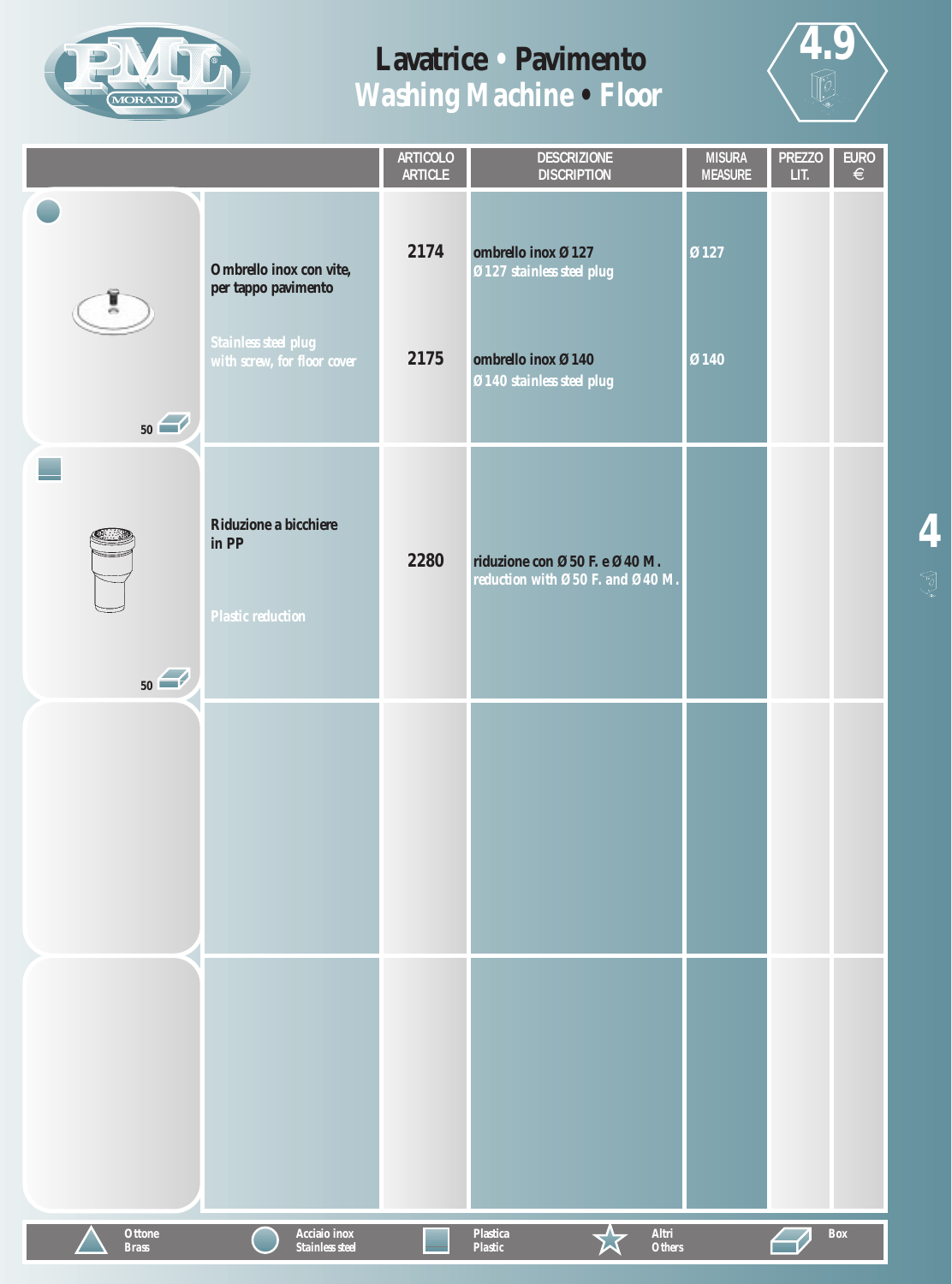



|                               |                                                                                                       | ARTICOLO<br><b>ARTICLE</b> | <b>DESCRIZIONE</b><br><b>DISCRIPTION</b>                                                           | <b>MISURA</b><br><b>MEASURE</b> | <b>PREZZO</b><br>LIT. | $\overline{E}$<br>$\overline{\epsilon}$ |
|-------------------------------|-------------------------------------------------------------------------------------------------------|----------------------------|----------------------------------------------------------------------------------------------------|---------------------------------|-----------------------|-----------------------------------------|
| 50                            | Ombrello inox con vite,<br>per tappo pavimento<br>Stainless steel plug<br>with screw, for floor cover | 2174<br>2175               | ombrello inox Ø127<br>Ø127 stainless steel plug<br>ombrello inox Ø140<br>Ø140 stainless steel plug | Ø127<br>Ø140                    |                       |                                         |
| 50                            | Riduzione a bicchiere<br>in PP<br><b>Plastic reduction</b>                                            | 2280                       | riduzione con Ø50 F. e Ø40 M.<br>reduction with Ø50 F. and Ø40 M.                                  |                                 |                       |                                         |
|                               |                                                                                                       |                            |                                                                                                    |                                 |                       |                                         |
|                               |                                                                                                       |                            |                                                                                                    |                                 |                       |                                         |
| <b>Ottone</b><br><b>Brass</b> | Acciaio inox<br>Stainless steel                                                                       |                            | Altri<br><b>Plastica</b><br><b>Others</b><br>Plastic                                               |                                 |                       | Box                                     |